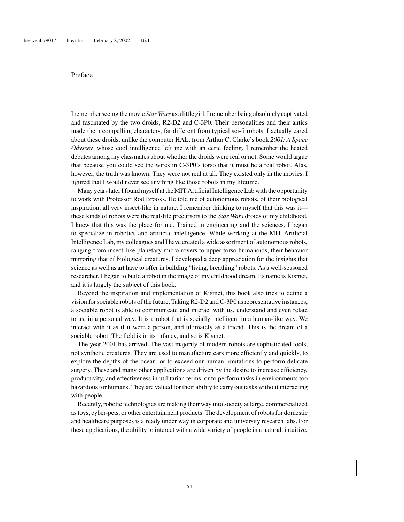## Preface

I remember seeing the movie *Star Wars* as a little girl. I remember being absolutely captivated and fascinated by the two droids, R2-D2 and C-3P0. Their personalities and their antics made them compelling characters, far different from typical sci-fi robots. I actually cared about these droids, unlike the computer HAL, from Arthur C. Clarke's book *2001: A Space Odyssey,* whose cool intelligence left me with an eerie feeling. I remember the heated debates among my classmates about whether the droids were real or not. Some would argue that because you could see the wires in C-3P0's torso that it must be a real robot. Alas, however, the truth was known. They were not real at all. They existed only in the movies. I figured that I would never see anything like those robots in my lifetime.

Many years later I found myself at the MIT Artificial Intelligence Lab with the opportunity to work with Professor Rod Brooks. He told me of autonomous robots, of their biological inspiration, all very insect-like in nature. I remember thinking to myself that this was it these kinds of robots were the real-life precursors to the *Star Wars* droids of my childhood. I knew that this was the place for me. Trained in engineering and the sciences, I began to specialize in robotics and artificial intelligence. While working at the MIT Artificial Intelligence Lab, my colleagues and I have created a wide assortment of autonomous robots, ranging from insect-like planetary micro-rovers to upper-torso humanoids, their behavior mirroring that of biological creatures. I developed a deep appreciation for the insights that science as well as art have to offer in building "living, breathing" robots. As a well-seasoned [researcher, I began to build a robot in the image of my childhood dream. Its name is Kismet,](#page--1-0) and it is largely the subject of this book.

Beyond the inspiration and implementation of Kismet, this book also tries to define a vision for sociable robots of the future. Taking R2-D2 and C-3P0 as representative instances, a sociable robot is able to communicate and interact with us, understand and even relate to us, in a personal way. It is a robot that is socially intelligent in a human-like way. We interact with it as if it were a person, and ultimately as a friend. This is the dream of a sociable robot. The field is in its infancy, and so is Kismet.

The year 2001 has arrived. The vast majority of modern robots are sophisticated tools, not synthetic creatures. They are used to manufacture cars more efficiently and quickly, to explore the depths of the ocean, or to exceed our human limitations to perform delicate surgery. These and many other applications are driven by the desire to increase efficiency, productivity, and effectiveness in utilitarian terms, or to perform tasks in environments too hazardous for humans. They are valued for their ability to carry out tasks without interacting with people.

Recently, robotic technologies are making their way into society at large, commercialized as toys, cyber-pets, or other entertainment products. The development of robots for domestic and healthcare purposes is already under way in corporate and university research labs. For these applications, the ability to interact with a wide variety of people in a natural, intuitive,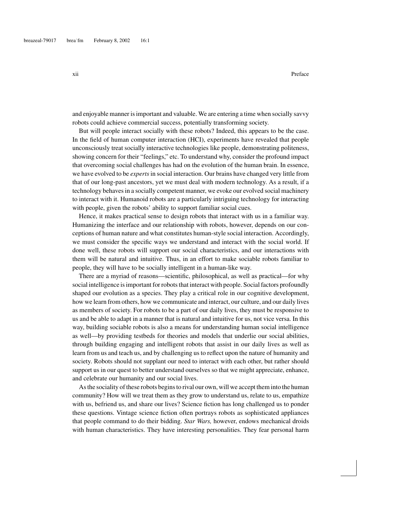and enjoyable manner is important and valuable. We are entering a time when socially savvy robots could achieve commercial success, potentially transforming society.

But will people interact socially with these robots? Indeed, this appears to be the case. In the field of human computer interaction (HCI), experiments have revealed that people unconsciously treat socially interactive technologies like people, demonstrating politeness, showing concern for their "feelings," etc. To understand why, consider the profound impact that overcoming social challenges has had on the evolution of the human brain. In essence, we have evolved to be *experts* in social interaction. Our brains have changed very little from that of our long-past ancestors, yet we must deal with modern technology. As a result, if a technology behaves in a socially competent manner, we evoke our evolved social machinery to interact with it. Humanoid robots are a particularly intriguing technology for interacting with people, given the robots' ability to support familiar social cues.

Hence, it makes practical sense to design robots that interact with us in a familiar way. Humanizing the interface and our relationship with robots, however, depends on our conceptions of human nature and what constitutes human-style social interaction. Accordingly, we must consider the specific ways we understand and interact with the social world. If done well, these robots will support our social characteristics, and our interactions with them will be natural and intuitive. Thus, in an effort to make sociable robots familiar to people, they will have to be socially intelligent in a human-like way.

There are a myriad of reasons—scientific, philosophical, as well as practical—for why social intelligence is important for robots that interact with people. Social factors profoundly shaped our evolution as a species. They play a critical role in our cognitive development, how we learn from others, how we communicate and interact, our culture, and our daily lives as members of society. For robots to be a part of our daily lives, they must be responsive to us and be able to adapt in a manner that is natural and intuitive for us, not vice versa. In this way, building sociable robots is also a means for understanding human social intelligence as well—by providing testbeds for theories and models that underlie our social abilities, through building engaging and intelligent robots that assist in our daily lives as well as learn from us and teach us, and by challenging us to reflect upon the nature of humanity and society. Robots should not supplant our need to interact with each other, but rather should support us in our quest to better understand ourselves so that we might appreciate, enhance, and celebrate our humanity and our social lives.

As the sociality of these robots begins to rival our own, will we accept them into the human community? How will we treat them as they grow to understand us, relate to us, empathize with us, befriend us, and share our lives? Science fiction has long challenged us to ponder these questions. Vintage science fiction often portrays robots as sophisticated appliances that people command to do their bidding. *Star Wars,* however, endows mechanical droids with human characteristics. They have interesting personalities. They fear personal harm